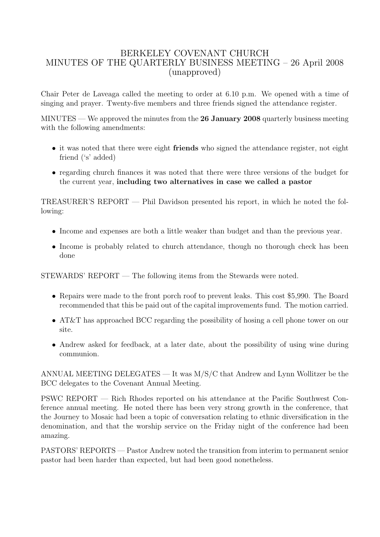## BERKELEY COVENANT CHURCH MINUTES OF THE QUARTERLY BUSINESS MEETING – 26 April 2008 (unapproved)

Chair Peter de Laveaga called the meeting to order at 6.10 p.m. We opened with a time of singing and prayer. Twenty-five members and three friends signed the attendance register.

MINUTES — We approved the minutes from the 26 January 2008 quarterly business meeting with the following amendments:

- it was noted that there were eight **friends** who signed the attendance register, not eight friend ('s' added)
- regarding church finances it was noted that there were three versions of the budget for the current year, including two alternatives in case we called a pastor

TREASURER'S REPORT — Phil Davidson presented his report, in which he noted the following:

- Income and expenses are both a little weaker than budget and than the previous year.
- Income is probably related to church attendance, though no thorough check has been done

STEWARDS' REPORT — The following items from the Stewards were noted.

- Repairs were made to the front porch roof to prevent leaks. This cost \$5,990. The Board recommended that this be paid out of the capital improvements fund. The motion carried.
- AT&T has approached BCC regarding the possibility of hosing a cell phone tower on our site.
- Andrew asked for feedback, at a later date, about the possibility of using wine during communion.

ANNUAL MEETING DELEGATES — It was M/S/C that Andrew and Lynn Wollitzer be the BCC delegates to the Covenant Annual Meeting.

PSWC REPORT — Rich Rhodes reported on his attendance at the Pacific Southwest Conference annual meeting. He noted there has been very strong growth in the conference, that the Journey to Mosaic had been a topic of conversation relating to ethnic diversification in the denomination, and that the worship service on the Friday night of the conference had been amazing.

PASTORS' REPORTS — Pastor Andrew noted the transition from interim to permanent senior pastor had been harder than expected, but had been good nonetheless.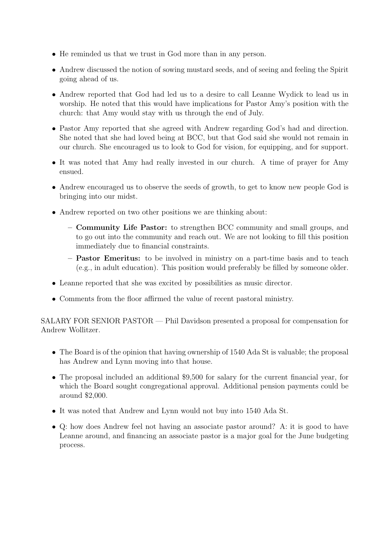- He reminded us that we trust in God more than in any person.
- Andrew discussed the notion of sowing mustard seeds, and of seeing and feeling the Spirit going ahead of us.
- Andrew reported that God had led us to a desire to call Leanne Wydick to lead us in worship. He noted that this would have implications for Pastor Amy's position with the church: that Amy would stay with us through the end of July.
- Pastor Amy reported that she agreed with Andrew regarding God's had and direction. She noted that she had loved being at BCC, but that God said she would not remain in our church. She encouraged us to look to God for vision, for equipping, and for support.
- It was noted that Amy had really invested in our church. A time of prayer for Amy ensued.
- Andrew encouraged us to observe the seeds of growth, to get to know new people God is bringing into our midst.
- Andrew reported on two other positions we are thinking about:
	- Community Life Pastor: to strengthen BCC community and small groups, and to go out into the community and reach out. We are not looking to fill this position immediately due to financial constraints.
	- Pastor Emeritus: to be involved in ministry on a part-time basis and to teach (e.g., in adult education). This position would preferably be filled by someone older.
- Leanne reported that she was excited by possibilities as music director.
- Comments from the floor affirmed the value of recent pastoral ministry.

SALARY FOR SENIOR PASTOR — Phil Davidson presented a proposal for compensation for Andrew Wollitzer.

- The Board is of the opinion that having ownership of 1540 Ada St is valuable; the proposal has Andrew and Lynn moving into that house.
- The proposal included an additional \$9,500 for salary for the current financial year, for which the Board sought congregational approval. Additional pension payments could be around \$2,000.
- It was noted that Andrew and Lynn would not buy into 1540 Ada St.
- Q: how does Andrew feel not having an associate pastor around? A: it is good to have Leanne around, and financing an associate pastor is a major goal for the June budgeting process.